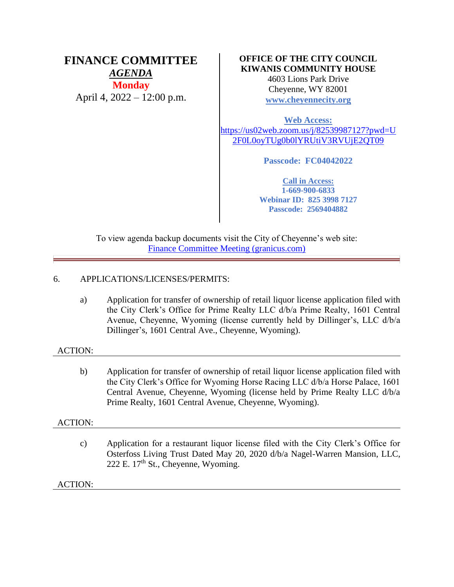# **FINANCE COMMITTEE** *AGENDA* **Monday**

April 4, 2022 – 12:00 p.m.

## **OFFICE OF THE CITY COUNCIL KIWANIS COMMUNITY HOUSE**

4603 Lions Park Drive Cheyenne, WY 82001 **[www.cheyennecity.org](http://www.cheyennecity.org/)**

**Web Access:** [https://us02web.zoom.us/j/82539987127?pwd=U](https://us02web.zoom.us/j/82539987127?pwd=U2F0L0oyTUg0b0lYRUtiV3RVUjE2QT09) [2F0L0oyTUg0b0lYRUtiV3RVUjE2QT09](https://us02web.zoom.us/j/82539987127?pwd=U2F0L0oyTUg0b0lYRUtiV3RVUjE2QT09)

**Passcode: FC04042022**

**Call in Access: 1-669-900-6833 Webinar ID: 825 3998 7127 Passcode: 2569404882**

To view agenda backup documents visit the City of Cheyenne's web site: [Finance Committee Meeting \(granicus.com\)](https://cheyenne.granicus.com/GeneratedAgendaViewer.php?event_id=1061)

## 6. APPLICATIONS/LICENSES/PERMITS:

a) Application for transfer of ownership of retail liquor license application filed with the City Clerk's Office for Prime Realty LLC d/b/a Prime Realty, 1601 Central Avenue, Cheyenne, Wyoming (license currently held by Dillinger's, LLC d/b/a Dillinger's, 1601 Central Ave., Cheyenne, Wyoming).

## ACTION:

b) Application for transfer of ownership of retail liquor license application filed with the City Clerk's Office for Wyoming Horse Racing LLC d/b/a Horse Palace, 1601 Central Avenue, Cheyenne, Wyoming (license held by Prime Realty LLC d/b/a Prime Realty, 1601 Central Avenue, Cheyenne, Wyoming).

## ACTION:

c) Application for a restaurant liquor license filed with the City Clerk's Office for Osterfoss Living Trust Dated May 20, 2020 d/b/a Nagel-Warren Mansion, LLC, 222 E. 17th St., Cheyenne, Wyoming.

## ACTION: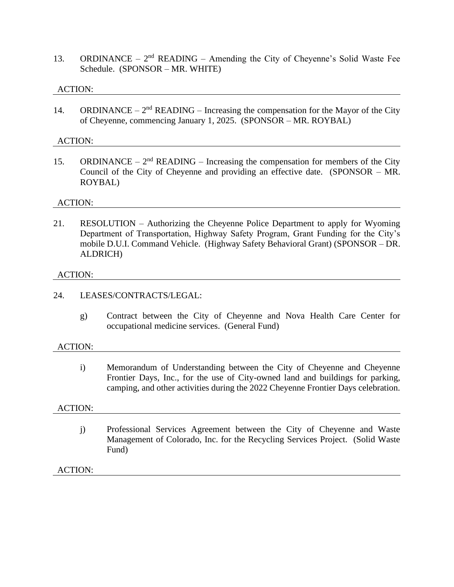13. ORDINANCE –  $2<sup>nd</sup>$  READING – Amending the City of Cheyenne's Solid Waste Fee Schedule. (SPONSOR – MR. WHITE)

## ACTION:

14. ORDINANCE –  $2<sup>nd</sup>$  READING – Increasing the compensation for the Mayor of the City of Cheyenne, commencing January 1, 2025. (SPONSOR – MR. ROYBAL)

#### ACTION:

15. ORDINANCE –  $2<sup>nd</sup>$  READING – Increasing the compensation for members of the City Council of the City of Cheyenne and providing an effective date. (SPONSOR – MR. ROYBAL)

#### ACTION:

21. RESOLUTION – Authorizing the Cheyenne Police Department to apply for Wyoming Department of Transportation, Highway Safety Program, Grant Funding for the City's mobile D.U.I. Command Vehicle. (Highway Safety Behavioral Grant) (SPONSOR – DR. ALDRICH)

#### ACTION:

### 24. LEASES/CONTRACTS/LEGAL:

g) Contract between the City of Cheyenne and Nova Health Care Center for occupational medicine services. (General Fund)

#### ACTION:

i) Memorandum of Understanding between the City of Cheyenne and Cheyenne Frontier Days, Inc., for the use of City-owned land and buildings for parking, camping, and other activities during the 2022 Cheyenne Frontier Days celebration.

#### ACTION:

j) Professional Services Agreement between the City of Cheyenne and Waste Management of Colorado, Inc. for the Recycling Services Project. (Solid Waste Fund)

## ACTION: